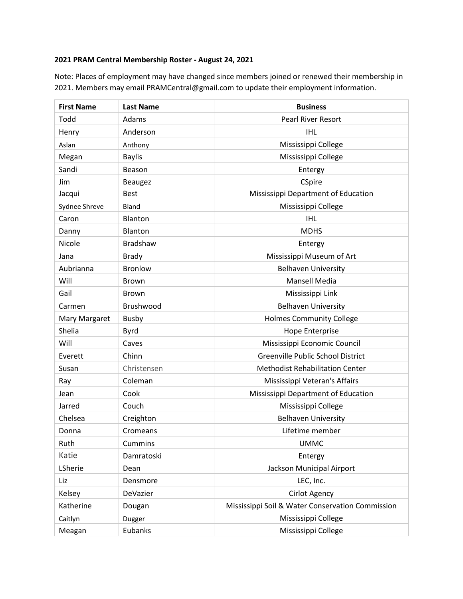## **2021 PRAM Central Membership Roster - August 24, 2021**

**First Name Last Name Business** Todd **Adams** Adams Adams **Pearl River Resort** Henry Anderson IHL Aslan Anthony **Anthony** Anthony **Mississippi College** Megan Baylis Mississippi College Sandi Reason **Beason** Beason Burner Bandi Bandi Bandi Bandi Bandi Bandi Bandi Bandi Bandi Bandi Bandi Bandi Bandi Jim Beaugez CSpire Jacqui Best Mississippi Department of Education Sydnee Shreve Bland Bland Bland Research Mississippi College Caron Blanton **Blanton** IHL Danny Blanton **Blanton** Blanton **MDHS** Nicole **Bradshaw Entergy** Jana Brady Mississippi Museum of Art Aubrianna Bronlow Belhaven University Will Brown Brown Redesign Mansell Media Gail Brown Mississippi Link Carmen Brushwood Belhaven University Mary Margaret Busby **Holmes Community College** Shelia Byrd Hope Enterprise Will Caves Caves Council Caves Council Caves Council Council Council Council Council Council Council Council Council Everett Chinn Greenville Public School District Susan Christensen Methodist Rehabilitation Center Ray Coleman Coleman Mississippi Veteran's Affairs Jean Cook Mississippi Department of Education Jarred Couch Couch Couch Couch Couch Counter Counter Counter Counter College Chelsea Creighton Creighton Chelsea Chelsea Creighton Chelsea Belhaven University Donna Cromeans Lifetime member Ruth Cummins and Cummins and the UMMC Katie **Damratoski Entergy** LSherie Dean Jackson Municipal Airport Liz Densmore LEC, Inc. Kelsey DeVazier Cirlot Agency Katherine Dougan Mississippi Soil & Water Conservation Commission Caitlyn Dugger Mississippi College Meagan Eubanks Mississippi College

Note: Places of employment may have changed since members joined or renewed their membership in 2021. Members may email PRAMCentral@gmail.com to update their employment information.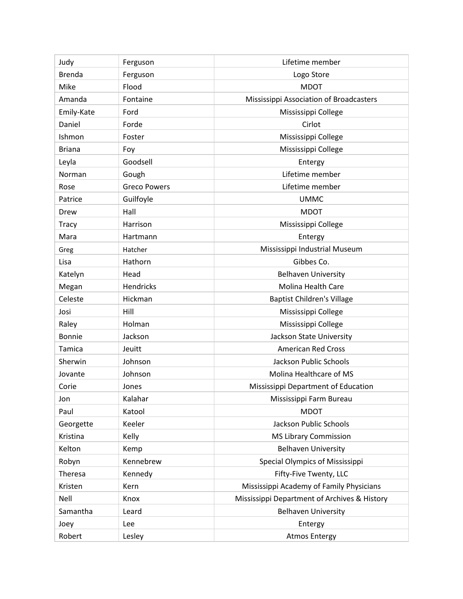| Judy          | Ferguson            | Lifetime member                              |
|---------------|---------------------|----------------------------------------------|
| <b>Brenda</b> | Ferguson            | Logo Store                                   |
| Mike          | Flood               | <b>MDOT</b>                                  |
| Amanda        | Fontaine            | Mississippi Association of Broadcasters      |
| Emily-Kate    | Ford                | Mississippi College                          |
| Daniel        | Forde               | Cirlot                                       |
| Ishmon        | Foster              | Mississippi College                          |
| <b>Briana</b> | Foy                 | Mississippi College                          |
| Leyla         | Goodsell            | Entergy                                      |
| Norman        | Gough               | Lifetime member                              |
| Rose          | <b>Greco Powers</b> | Lifetime member                              |
| Patrice       | Guilfoyle           | <b>UMMC</b>                                  |
| Drew          | Hall                | <b>MDOT</b>                                  |
| <b>Tracy</b>  | Harrison            | Mississippi College                          |
| Mara          | Hartmann            | Entergy                                      |
| Greg          | Hatcher             | Mississippi Industrial Museum                |
| Lisa          | Hathorn             | Gibbes Co.                                   |
| Katelyn       | Head                | <b>Belhaven University</b>                   |
| Megan         | Hendricks           | <b>Molina Health Care</b>                    |
| Celeste       | Hickman             | <b>Baptist Children's Village</b>            |
| Josi          | Hill                | Mississippi College                          |
| Raley         | Holman              | Mississippi College                          |
| Bonnie        | Jackson             | Jackson State University                     |
| Tamica        | Jeuitt              | <b>American Red Cross</b>                    |
| Sherwin       | Johnson             | Jackson Public Schools                       |
| Jovante       | Johnson             | Molina Healthcare of MS                      |
| Corie         | Jones               | Mississippi Department of Education          |
| Jon           | Kalahar             | Mississippi Farm Bureau                      |
| Paul          | Katool              | <b>MDOT</b>                                  |
| Georgette     | Keeler              | Jackson Public Schools                       |
| Kristina      | Kelly               | <b>MS Library Commission</b>                 |
| Kelton        | Kemp                | <b>Belhaven University</b>                   |
| Robyn         | Kennebrew           | Special Olympics of Mississippi              |
| Theresa       | Kennedy             | Fifty-Five Twenty, LLC                       |
| Kristen       | Kern                | Mississippi Academy of Family Physicians     |
| Nell          | Knox                | Mississippi Department of Archives & History |
| Samantha      | Leard               | <b>Belhaven University</b>                   |
| Joey          | Lee                 | Entergy                                      |
| Robert        | Lesley              | <b>Atmos Entergy</b>                         |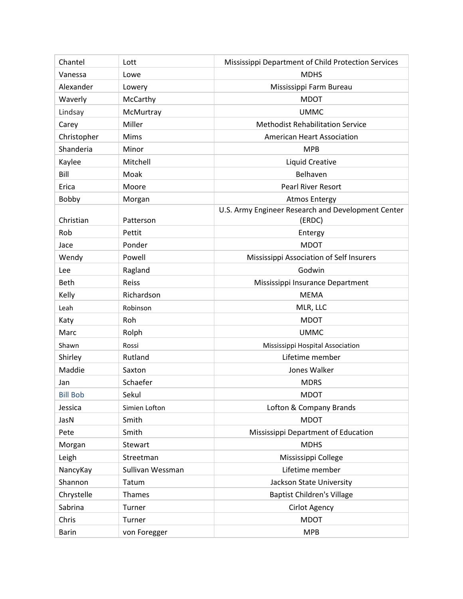| Chantel         | Lott             | Mississippi Department of Child Protection Services          |
|-----------------|------------------|--------------------------------------------------------------|
| Vanessa         | Lowe             | <b>MDHS</b>                                                  |
| Alexander       | Lowery           | Mississippi Farm Bureau                                      |
| Waverly         | McCarthy         | <b>MDOT</b>                                                  |
| Lindsay         | McMurtray        | <b>UMMC</b>                                                  |
| Carey           | Miller           | <b>Methodist Rehabilitation Service</b>                      |
| Christopher     | Mims             | <b>American Heart Association</b>                            |
| Shanderia       | Minor            | <b>MPB</b>                                                   |
| Kaylee          | Mitchell         | Liquid Creative                                              |
| Bill            | Moak             | Belhaven                                                     |
| Erica           | Moore            | <b>Pearl River Resort</b>                                    |
| Bobby           | Morgan           | <b>Atmos Entergy</b>                                         |
| Christian       | Patterson        | U.S. Army Engineer Research and Development Center<br>(ERDC) |
| Rob             | Pettit           | Entergy                                                      |
| Jace            | Ponder           | <b>MDOT</b>                                                  |
| Wendy           | Powell           | Mississippi Association of Self Insurers                     |
| Lee             | Ragland          | Godwin                                                       |
| <b>Beth</b>     | Reiss            | Mississippi Insurance Department                             |
| Kelly           | Richardson       | <b>MEMA</b>                                                  |
| Leah            | Robinson         | MLR, LLC                                                     |
| Katy            | Roh              | <b>MDOT</b>                                                  |
| Marc            | Rolph            | <b>UMMC</b>                                                  |
| Shawn           | Rossi            | Mississippi Hospital Association                             |
| Shirley         | Rutland          | Lifetime member                                              |
| Maddie          | Saxton           | Jones Walker                                                 |
| Jan             | Schaefer         | <b>MDRS</b>                                                  |
| <b>Bill Bob</b> | Sekul            | <b>MDOT</b>                                                  |
| Jessica         | Simien Lofton    | Lofton & Company Brands                                      |
| JasN            | Smith            | <b>MDOT</b>                                                  |
| Pete            | Smith            | Mississippi Department of Education                          |
| Morgan          | Stewart          | <b>MDHS</b>                                                  |
| Leigh           | Streetman        | Mississippi College                                          |
| NancyKay        | Sullivan Wessman | Lifetime member                                              |
| Shannon         | Tatum            | Jackson State University                                     |
| Chrystelle      | Thames           | <b>Baptist Children's Village</b>                            |
| Sabrina         | Turner           | Cirlot Agency                                                |
| Chris           | Turner           | <b>MDOT</b>                                                  |
| <b>Barin</b>    | von Foregger     | <b>MPB</b>                                                   |